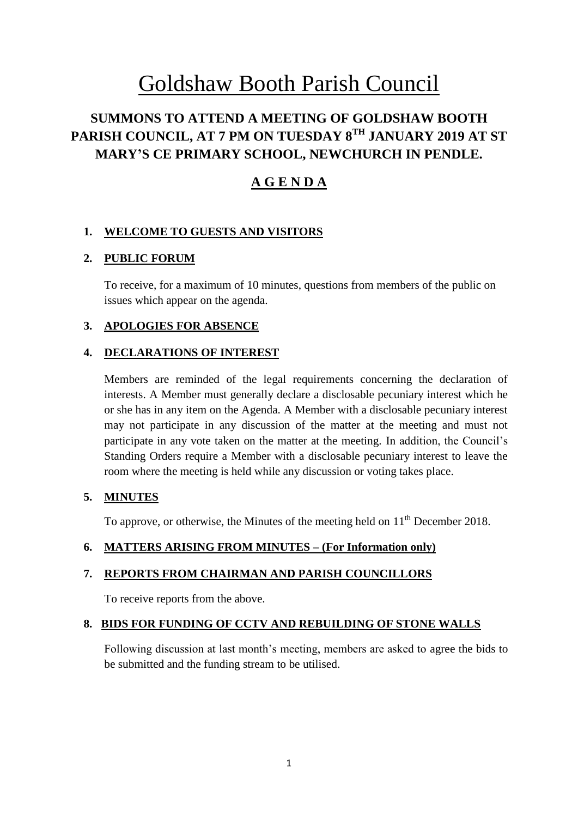# Goldshaw Booth Parish Council

# **SUMMONS TO ATTEND A MEETING OF GOLDSHAW BOOTH PARISH COUNCIL, AT 7 PM ON TUESDAY 8 TH JANUARY 2019 AT ST MARY'S CE PRIMARY SCHOOL, NEWCHURCH IN PENDLE.**

## **A G E N D A**

## **1. WELCOME TO GUESTS AND VISITORS**

## **2. PUBLIC FORUM**

To receive, for a maximum of 10 minutes, questions from members of the public on issues which appear on the agenda.

## **3. APOLOGIES FOR ABSENCE**

#### **4. DECLARATIONS OF INTEREST**

Members are reminded of the legal requirements concerning the declaration of interests. A Member must generally declare a disclosable pecuniary interest which he or she has in any item on the Agenda. A Member with a disclosable pecuniary interest may not participate in any discussion of the matter at the meeting and must not participate in any vote taken on the matter at the meeting. In addition, the Council's Standing Orders require a Member with a disclosable pecuniary interest to leave the room where the meeting is held while any discussion or voting takes place.

#### **5. MINUTES**

To approve, or otherwise, the Minutes of the meeting held on 11<sup>th</sup> December 2018.

## **6. MATTERS ARISING FROM MINUTES – (For Information only)**

#### **7. REPORTS FROM CHAIRMAN AND PARISH COUNCILLORS**

To receive reports from the above.

#### **8. BIDS FOR FUNDING OF CCTV AND REBUILDING OF STONE WALLS**

Following discussion at last month's meeting, members are asked to agree the bids to be submitted and the funding stream to be utilised.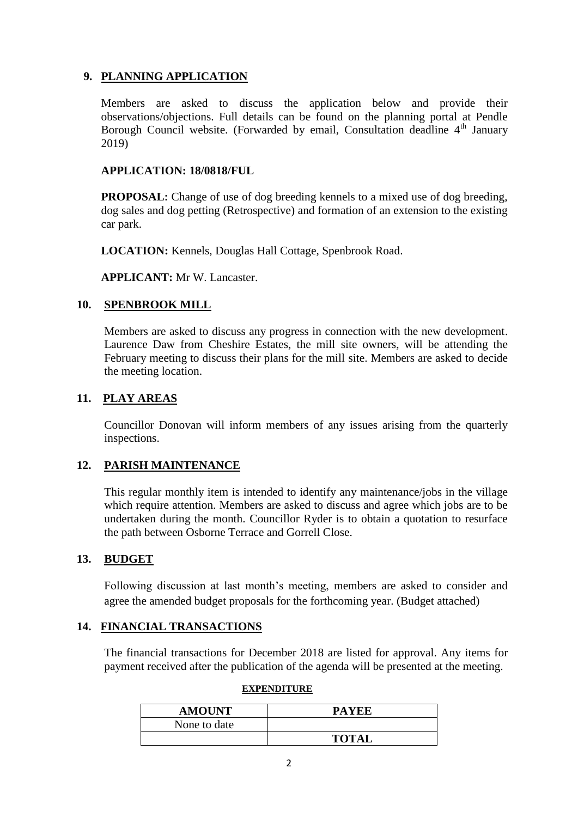## **9. PLANNING APPLICATION**

Members are asked to discuss the application below and provide their observations/objections. Full details can be found on the planning portal at Pendle Borough Council website. (Forwarded by email, Consultation deadline  $4<sup>th</sup>$  January 2019)

#### **APPLICATION: 18/0818/FUL**

**PROPOSAL:** Change of use of dog breeding kennels to a mixed use of dog breeding, dog sales and dog petting (Retrospective) and formation of an extension to the existing car park.

**LOCATION:** Kennels, Douglas Hall Cottage, Spenbrook Road.

**APPLICANT:** Mr W. Lancaster.

#### **10. SPENBROOK MILL**

Members are asked to discuss any progress in connection with the new development. Laurence Daw from Cheshire Estates, the mill site owners, will be attending the February meeting to discuss their plans for the mill site. Members are asked to decide the meeting location.

#### **11. PLAY AREAS**

Councillor Donovan will inform members of any issues arising from the quarterly inspections.

#### **12. PARISH MAINTENANCE**

This regular monthly item is intended to identify any maintenance/jobs in the village which require attention. Members are asked to discuss and agree which jobs are to be undertaken during the month. Councillor Ryder is to obtain a quotation to resurface the path between Osborne Terrace and Gorrell Close.

#### **13. BUDGET**

Following discussion at last month's meeting, members are asked to consider and agree the amended budget proposals for the forthcoming year. (Budget attached)

#### **14. FINANCIAL TRANSACTIONS**

The financial transactions for December 2018 are listed for approval. Any items for payment received after the publication of the agenda will be presented at the meeting.

#### **EXPENDITURE**

| <b>AMOUNT</b> | <b>PAYEE</b> |
|---------------|--------------|
| None to date  |              |
|               | <b>TOTAL</b> |